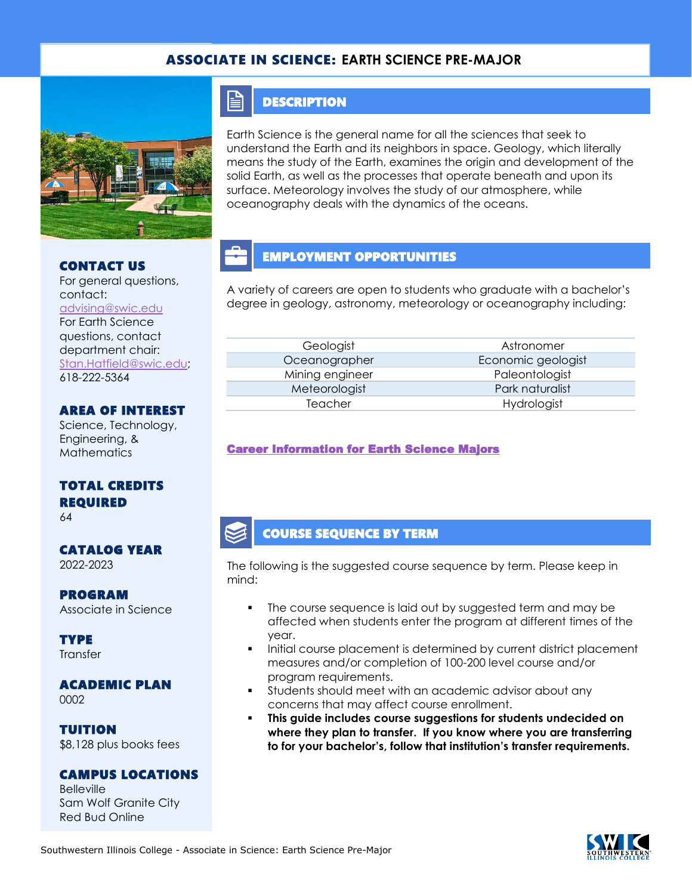## ASSOCIATE IN SCIENCE: **EARTH SCIENCE PRE-MAJOR**



#### CONTACT US

For general questions, contact: [advising@swic.edu](mailto:advising@swic.edu) For Earth Science questions, contact department chair: [Stan.Hatfield@swic.edu;](mailto:Stan.Hatfield@swic.edu) 618-222-5364

### AREA OF INTEREST

Science, Technology, Engineering, & **Mathematics** 

### TOTAL CREDITS REQUIRED

64

#### CATALOG YEAR 2022-2023

#### PROGRAM Associate in Science

**TYPE Transfer** 

#### ACADEMIC PLAN 0002

TUITION \$8,128 plus books fees

## CAMPUS LOCATIONS

**Belleville** Sam Wolf Granite City Red Bud Online

# **DESCRIPTION**

≐

Earth Science is the general name for all the sciences that seek to understand the Earth and its neighbors in space. Geology, which literally means the study of the Earth, examines the origin and development of the solid Earth, as well as the processes that operate beneath and upon its surface. Meteorology involves the study of our atmosphere, while oceanography deals with the dynamics of the oceans.

# EMPLOYMENT OPPORTUNITIES

A variety of careers are open to students who graduate with a bachelor's degree in geology, astronomy, meteorology or oceanography including:

Mining engineer Paleontologist

Geologist **Astronomer** Oceanographer Economic geologist Meteorologist **Park naturalist** Teacher Hydrologist

### [Career Information for Earth Science Majors](https://www.onetonline.org/find/quick?s=earth+science)

## COURSE SEQUENCE BY TERM

The following is the suggested course sequence by term. Please keep in mind:

- The course sequence is laid out by suggested term and may be affected when students enter the program at different times of the year.
- Initial course placement is determined by current district placement measures and/or completion of 100-200 level course and/or program requirements.
- Students should meet with an academic advisor about any concerns that may affect course enrollment.
- **This guide includes course suggestions for students undecided on where they plan to transfer. If you know where you are transferring to for your bachelor's, follow that institution's transfer requirements.**